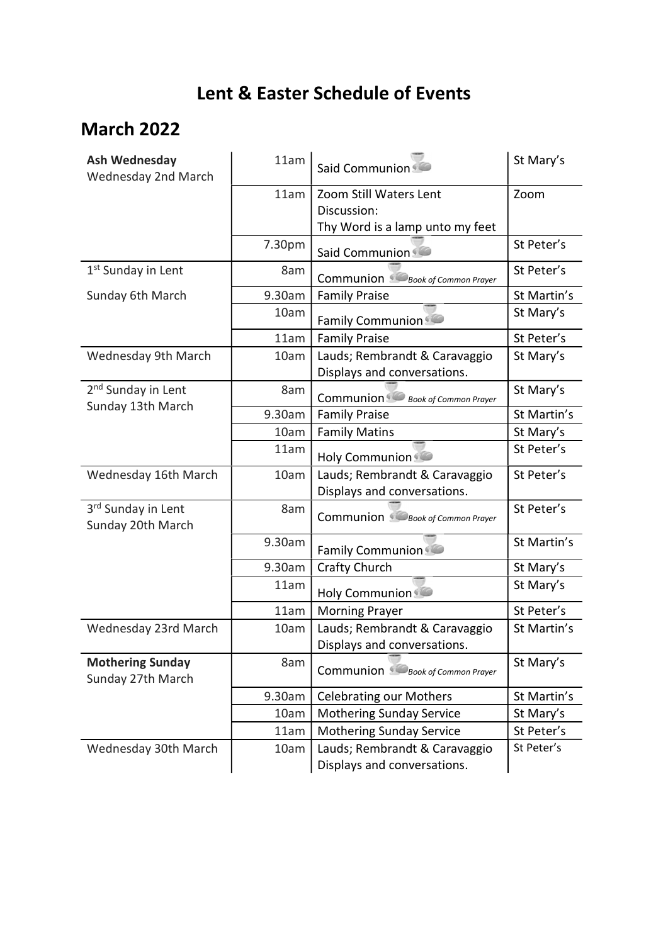## Lent & Easter Schedule of Events

## March 2022

| <b>Ash Wednesday</b><br>Wednesday 2nd March         | 11am   | Said Communion                                               | St Mary's               |
|-----------------------------------------------------|--------|--------------------------------------------------------------|-------------------------|
|                                                     | 11am   | Zoom Still Waters Lent                                       | Zoom                    |
|                                                     |        | Discussion:                                                  |                         |
|                                                     |        | Thy Word is a lamp unto my feet                              |                         |
|                                                     | 7.30pm | Said Communion                                               | St Peter's              |
| 1 <sup>st</sup> Sunday in Lent                      | 8am    | Communion Book of Common Prayer                              | St Peter's              |
| Sunday 6th March                                    | 9.30am | <b>Family Praise</b>                                         | St Martin's             |
|                                                     | 10am   | <b>Family Communion</b>                                      | St Mary's               |
|                                                     | 11am   | <b>Family Praise</b>                                         | St Peter's              |
| Wednesday 9th March                                 | 10am   | Lauds; Rembrandt & Caravaggio                                | St Mary's               |
|                                                     |        | Displays and conversations.                                  |                         |
| 2 <sup>nd</sup> Sunday in Lent<br>Sunday 13th March | 8am    | Communion Book of Common Prayer                              | St Mary's               |
|                                                     | 9.30am | <b>Family Praise</b>                                         | St Martin's             |
|                                                     | 10am   | <b>Family Matins</b>                                         | St Mary's               |
|                                                     | 11am   | <b>Holy Communion</b>                                        | St Peter's              |
| Wednesday 16th March                                | 10am   | Lauds; Rembrandt & Caravaggio                                | St Peter's              |
|                                                     |        | Displays and conversations.                                  |                         |
| 3rd Sunday in Lent<br>Sunday 20th March             | 8am    | <b>Communion</b> Book of Common Prayer                       | St Peter's              |
|                                                     | 9.30am | <b>Family Communion</b>                                      | St Martin's             |
|                                                     | 9.30am | <b>Crafty Church</b>                                         | St Mary's               |
|                                                     | 11am   | <b>Holy Communion</b>                                        | St Mary's               |
|                                                     | 11am   | <b>Morning Prayer</b>                                        | St Peter's              |
| Wednesday 23rd March                                | 10am   | Lauds; Rembrandt & Caravaggio                                | St Martin's             |
|                                                     |        | Displays and conversations.                                  |                         |
| <b>Mothering Sunday</b><br>Sunday 27th March        | 8am    | Communion Book of Common Prayer                              | St Mary's               |
|                                                     | 9.30am | <b>Celebrating our Mothers</b>                               | St Martin's             |
|                                                     |        |                                                              |                         |
|                                                     | 10am   | <b>Mothering Sunday Service</b>                              | St Mary's<br>St Peter's |
|                                                     | 11am   | <b>Mothering Sunday Service</b>                              | St Peter's              |
| Wednesday 30th March                                | 10am   | Lauds; Rembrandt & Caravaggio<br>Displays and conversations. |                         |
|                                                     |        |                                                              |                         |